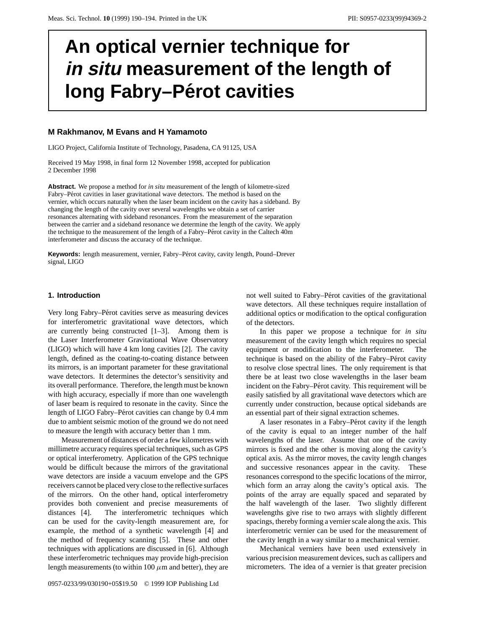# **An optical vernier technique for in situ measurement of the length of long Fabry-Pérot cavities**

## **M Rakhmanov, M Evans and H Yamamoto**

LIGO Project, California Institute of Technology, Pasadena, CA 91125, USA

Received 19 May 1998, in final form 12 November 1998, accepted for publication 2 December 1998

**Abstract.** We propose a method for *in situ* measurement of the length of kilometre-sized Fabry–Pérot cavities in laser gravitational wave detectors. The method is based on the vernier, which occurs naturally when the laser beam incident on the cavity has a sideband. By changing the length of the cavity over several wavelengths we obtain a set of carrier resonances alternating with sideband resonances. From the measurement of the separation between the carrier and a sideband resonance we determine the length of the cavity. We apply the technique to the measurement of the length of a Fabry–Pérot cavity in the Caltech 40m interferometer and discuss the accuracy of the technique.

Keywords: length measurement, vernier, Fabry–Pérot cavity, cavity length, Pound–Drever signal, LIGO

### **1. Introduction**

Very long Fabry–Pérot cavities serve as measuring devices for interferometric gravitational wave detectors, which are currently being constructed [1–3]. Among them is the Laser Interferometer Gravitational Wave Observatory (LIGO) which will have 4 km long cavities [2]. The cavity length, defined as the coating-to-coating distance between its mirrors, is an important parameter for these gravitational wave detectors. It determines the detector's sensitivity and its overall performance. Therefore, the length must be known with high accuracy, especially if more than one wavelength of laser beam is required to resonate in the cavity. Since the length of LIGO Fabry–Pérot cavities can change by 0.4 mm due to ambient seismic motion of the ground we do not need to measure the length with accuracy better than 1 mm.

Measurement of distances of order a few kilometres with millimetre accuracy requires special techniques, such as GPS or optical interferometry. Application of the GPS technique would be difficult because the mirrors of the gravitational wave detectors are inside a vacuum envelope and the GPS receivers cannot be placed very close to the reflective surfaces of the mirrors. On the other hand, optical interferometry provides both convenient and precise measurements of distances [4]. The interferometric techniques which can be used for the cavity-length measurement are, for example, the method of a synthetic wavelength [4] and the method of frequency scanning [5]. These and other techniques with applications are discussed in [6]. Although these interferometric techniques may provide high-precision length measurements (to within 100  $\mu$ m and better), they are

not well suited to Fabry–Pérot cavities of the gravitational wave detectors. All these techniques require installation of additional optics or modification to the optical configuration of the detectors.

In this paper we propose a technique for *in situ* measurement of the cavity length which requires no special equipment or modification to the interferometer. The technique is based on the ability of the Fabry–Pérot cavity to resolve close spectral lines. The only requirement is that there be at least two close wavelengths in the laser beam incident on the Fabry–Pérot cavity. This requirement will be easily satisfied by all gravitational wave detectors which are currently under construction, because optical sidebands are an essential part of their signal extraction schemes.

A laser resonates in a Fabry–Pérot cavity if the length of the cavity is equal to an integer number of the half wavelengths of the laser. Assume that one of the cavity mirrors is fixed and the other is moving along the cavity's optical axis. As the mirror moves, the cavity length changes and successive resonances appear in the cavity. These resonances correspond to the specific locations of the mirror, which form an array along the cavity's optical axis. The points of the array are equally spaced and separated by the half wavelength of the laser. Two slightly different wavelengths give rise to two arrays with slightly different spacings, thereby forming a vernier scale along the axis. This interferometric vernier can be used for the measurement of the cavity length in a way similar to a mechanical vernier.

Mechanical verniers have been used extensively in various precision measurement devices, such as callipers and micrometers. The idea of a vernier is that greater precision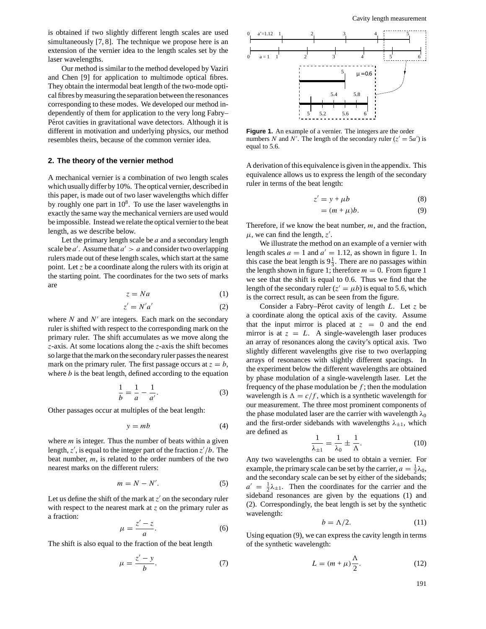is obtained if two slightly different length scales are used simultaneously [7, 8]. The technique we propose here is an extension of the vernier idea to the length scales set by the laser wavelengths.

Our method is similar to the method developed by Vaziri and Chen [9] for application to multimode optical fibres. They obtain the intermodal beat length of the two-mode optical fibres by measuring the separation between the resonances corresponding to these modes. We developed our method independently of them for application to the very long Fabry– Pérot cavities in gravitational wave detectors. Although it is different in motivation and underlying physics, our method resembles theirs, because of the common vernier idea.

## **2. The theory of the vernier method**

A mechanical vernier is a combination of two length scales which usually differ by 10%. The optical vernier, described in this paper, is made out of two laser wavelengths which differ by roughly one part in  $10^8$ . To use the laser wavelengths in exactly the same way the mechanical verniers are used would be impossible. Instead we relate the optical vernier to the beat length, as we describe below.

Let the primary length scale be *a* and a secondary length scale be  $a'$ . Assume that  $a' > a$  and consider two overlapping rulers made out of these length scales, which start at the same point. Let *z* be a coordinate along the rulers with its origin at the starting point. The coordinates for the two sets of marks are

$$
z = Na \tag{1}
$$

$$
z' = N'a'
$$
 (2)

where  $N$  and  $N'$  are integers. Each mark on the secondary ruler is shifted with respect to the corresponding mark on the primary ruler. The shift accumulates as we move along the *z*-axis. At some locations along the *z*-axis the shift becomes so large that the mark on the secondary ruler passes the nearest mark on the primary ruler. The first passage occurs at  $z = b$ , where *b* is the beat length, defined according to the equation

$$
\frac{1}{b} = \frac{1}{a} - \frac{1}{a'}.
$$
 (3)

Other passages occur at multiples of the beat length:

$$
y = mb \tag{4}
$$

where *m* is integer. Thus the number of beats within a given length,  $z'$ , is equal to the integer part of the fraction  $z'/b$ . The beat number, *m*, is related to the order numbers of the two nearest marks on the different rulers:

$$
m = N - N'.\tag{5}
$$

Let us define the shift of the mark at  $z'$  on the secondary ruler with respect to the nearest mark at *z* on the primary ruler as a fraction:

$$
\mu = \frac{z'-z}{a}.\tag{6}
$$

The shift is also equal to the fraction of the beat length

$$
\mu = \frac{z'-y}{b}.\tag{7}
$$



Figure 1. An example of a vernier. The integers are the order numbers *N* and *N'*. The length of the secondary ruler ( $z' = 5a'$ ) is equal to 5.6.

A derivation of this equivalence is given in the appendix. This equivalence allows us to express the length of the secondary ruler in terms of the beat length:

$$
z' = y + \mu b \tag{8}
$$

$$
= (m + \mu)b.
$$
 (9)

Therefore, if we know the beat number, *m*, and the fraction,  $\mu$ , we can find the length,  $z'$ .

We illustrate the method on an example of a vernier with length scales  $a = 1$  and  $a' = 1.12$ , as shown in figure 1. In this case the beat length is  $9\frac{1}{3}$ . There are no passages within the length shown in figure 1; therefore  $m = 0$ . From figure 1 we see that the shift is equal to 0*.*6. Thus we find that the length of the secondary ruler ( $z' = \mu b$ ) is equal to 5.6, which is the correct result, as can be seen from the figure.

Consider a Fabry–Pérot cavity of length *L*. Let *z* be a coordinate along the optical axis of the cavity. Assume that the input mirror is placed at  $z = 0$  and the end mirror is at  $z = L$ . A single-wavelength laser produces an array of resonances along the cavity's optical axis. Two slightly different wavelengths give rise to two overlapping arrays of resonances with slightly different spacings. In the experiment below the different wavelengths are obtained by phase modulation of a single-wavelength laser. Let the frequency of the phase modulation be  $f$ ; then the modulation wavelength is  $\Lambda = c/f$ , which is a synthetic wavelength for our measurement. The three most prominent components of the phase modulated laser are the carrier with wavelength  $λ_0$ and the first-order sidebands with wavelengths  $\lambda_{\pm 1}$ , which are defined as

$$
\frac{1}{\lambda_{\pm 1}} = \frac{1}{\lambda_0} \pm \frac{1}{\Lambda}.\tag{10}
$$

Any two wavelengths can be used to obtain a vernier. For example, the primary scale can be set by the carrier,  $a = \frac{1}{2}\lambda_0$ , and the secondary scale can be set by either of the sidebands;  $a' = \frac{1}{2}\lambda_{\pm 1}$ . Then the coordinates for the carrier and the sideband resonances are given by the equations (1) and (2). Correspondingly, the beat length is set by the synthetic wavelength:

$$
b = \Lambda/2. \tag{11}
$$

Using equation (9), we can express the cavity length in terms of the synthetic wavelength:

$$
L = (m + \mu) \frac{\Lambda}{2}.
$$
 (12)

191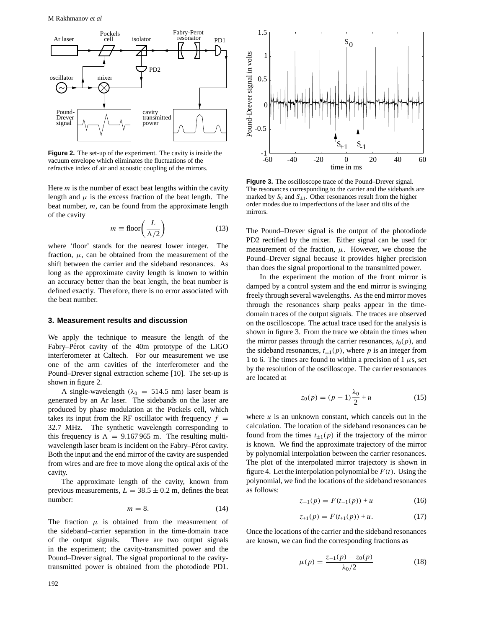

**Figure 2.** The set-up of the experiment. The cavity is inside the vacuum envelope which eliminates the fluctuations of the refractive index of air and acoustic coupling of the mirrors.

Here *m* is the number of exact beat lengths within the cavity length and  $\mu$  is the excess fraction of the beat length. The beat number, *m*, can be found from the approximate length of the cavity

$$
m \equiv \text{floor}\bigg(\frac{L}{\Lambda/2}\bigg) \tag{13}
$$

where 'floor' stands for the nearest lower integer. The fraction,  $\mu$ , can be obtained from the measurement of the shift between the carrier and the sideband resonances. As long as the approximate cavity length is known to within an accuracy better than the beat length, the beat number is defined exactly. Therefore, there is no error associated with the beat number.

#### **3. Measurement results and discussion**

We apply the technique to measure the length of the Fabry–Pérot cavity of the 40m prototype of the LIGO interferometer at Caltech. For our measurement we use one of the arm cavities of the interferometer and the Pound–Drever signal extraction scheme [10]. The set-up is shown in figure 2.

A single-wavelength  $(\lambda_0 = 514.5 \text{ nm})$  laser beam is generated by an Ar laser. The sidebands on the laser are produced by phase modulation at the Pockels cell, which takes its input from the RF oscillator with frequency  $f =$ 32*.*7 MHz. The synthetic wavelength corresponding to this frequency is  $\Lambda = 9.167965$  m. The resulting multiwavelength laser beam is incident on the Fabry–Pérot cavity. Both the input and the end mirror of the cavity are suspended from wires and are free to move along the optical axis of the cavity.

The approximate length of the cavity, known from previous measurements,  $L = 38.5 \pm 0.2$  m, defines the beat number:

$$
m = 8.\t(14)
$$

The fraction  $\mu$  is obtained from the measurement of the sideband–carrier separation in the time-domain trace of the output signals. There are two output signals in the experiment; the cavity-transmitted power and the Pound–Drever signal. The signal proportional to the cavitytransmitted power is obtained from the photodiode PD1.



**Figure 3.** The oscilloscope trace of the Pound–Drever signal. The resonances corresponding to the carrier and the sidebands are marked by  $S_0$  and  $S_{\pm 1}$ . Other resonances result from the higher order modes due to imperfections of the laser and tilts of the mirrors.

The Pound–Drever signal is the output of the photodiode PD2 rectified by the mixer. Either signal can be used for measurement of the fraction,  $\mu$ . However, we choose the Pound–Drever signal because it provides higher precision than does the signal proportional to the transmitted power.

In the experiment the motion of the front mirror is damped by a control system and the end mirror is swinging freely through several wavelengths. As the end mirror moves through the resonances sharp peaks appear in the timedomain traces of the output signals. The traces are observed on the oscilloscope. The actual trace used for the analysis is shown in figure 3. From the trace we obtain the times when the mirror passes through the carrier resonances,  $t_0(p)$ , and the sideband resonances,  $t_{\pm 1}(p)$ , where p is an integer from 1 to 6. The times are found to within a precision of 1  $\mu$ s, set by the resolution of the oscilloscope. The carrier resonances are located at

$$
z_0(p) = (p-1)\frac{\lambda_0}{2} + u \tag{15}
$$

where *u* is an unknown constant, which cancels out in the calculation. The location of the sideband resonances can be found from the times  $t_{\pm 1}(p)$  if the trajectory of the mirror is known. We find the approximate trajectory of the mirror by polynomial interpolation between the carrier resonances. The plot of the interpolated mirror trajectory is shown in figure 4. Let the interpolation polynomial be  $F(t)$ . Using the polynomial, we find the locations of the sideband resonances as follows:

$$
z_{-1}(p) = F(t_{-1}(p)) + u \tag{16}
$$

$$
z_{+1}(p) = F(t_{+1}(p)) + u.
$$
 (17)

Once the locations of the carrier and the sideband resonances are known, we can find the corresponding fractions as

$$
\mu(p) = \frac{z_{-1}(p) - z_0(p)}{\lambda_0/2} \tag{18}
$$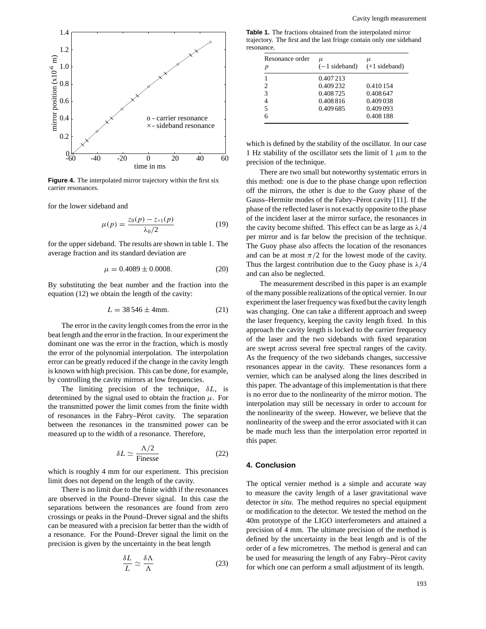

**Figure 4.** The interpolated mirror trajectory within the first six carrier resonances.

for the lower sideband and

$$
\mu(p) = \frac{z_0(p) - z_{+1}(p)}{\lambda_0/2} \tag{19}
$$

for the upper sideband. The results are shown in table 1. The average fraction and its standard deviation are

$$
\mu = 0.4089 \pm 0.0008. \tag{20}
$$

By substituting the beat number and the fraction into the equation (12) we obtain the length of the cavity:

$$
L = 38546 \pm 4 \text{mm}.
$$
 (21)

The error in the cavity length comes from the error in the beat length and the error in the fraction. In our experiment the dominant one was the error in the fraction, which is mostly the error of the polynomial interpolation. The interpolation error can be greatly reduced if the change in the cavity length is known with high precision. This can be done, for example, by controlling the cavity mirrors at low frequencies.

The limiting precision of the technique, *δL*, is determined by the signal used to obtain the fraction  $\mu$ . For the transmitted power the limit comes from the finite width of resonances in the Fabry–Pérot cavity. The separation between the resonances in the transmitted power can be measured up to the width of a resonance. Therefore,

$$
\delta L \simeq \frac{\Lambda/2}{\text{Fimesse}}\tag{22}
$$

which is roughly 4 mm for our experiment. This precision limit does not depend on the length of the cavity.

There is no limit due to the finite width if the resonances are observed in the Pound–Drever signal. In this case the separations between the resonances are found from zero crossings or peaks in the Pound–Drever signal and the shifts can be measured with a precision far better than the width of a resonance. For the Pound–Drever signal the limit on the precision is given by the uncertainty in the beat length

$$
\frac{\delta L}{L} \simeq \frac{\delta \Lambda}{\Lambda} \tag{23}
$$

**Table 1.** The fractions obtained from the interpolated mirror trajectory. The first and the last fringe contain only one sideband resonance.

| Resonance order<br>p | μ<br>$(-1$ sideband) | μ<br>$(+1$ sideband) |
|----------------------|----------------------|----------------------|
|                      | 0.407213             |                      |
| $\mathfrak{D}$       | 0.409 232            | 0.410 154            |
| 3                    | 0.408725             | 0.408 647            |
|                      | 0.408816             | 0.409 038            |
| 5                    | 0.409 685            | 0.409 093            |
| 6                    |                      | 0.408 188            |

which is defined by the stability of the oscillator. In our case 1 Hz stability of the oscillator sets the limit of 1  $\mu$ m to the precision of the technique.

There are two small but noteworthy systematic errors in this method: one is due to the phase change upon reflection off the mirrors, the other is due to the Guoy phase of the Gauss–Hermite modes of the Fabry–Pérot cavity [11]. If the phase of the reflected laser is not exactly opposite to the phase of the incident laser at the mirror surface, the resonances in the cavity become shifted. This effect can be as large as *λ/*4 per mirror and is far below the precision of the technique. The Guoy phase also affects the location of the resonances and can be at most  $\pi/2$  for the lowest mode of the cavity. Thus the largest contribution due to the Guoy phase is *λ/*4 and can also be neglected.

The measurement described in this paper is an example of the many possible realizations of the optical vernier. In our experiment the laser frequency was fixed but the cavity length was changing. One can take a different approach and sweep the laser frequency, keeping the cavity length fixed. In this approach the cavity length is locked to the carrier frequency of the laser and the two sidebands with fixed separation are swept across several free spectral ranges of the cavity. As the frequency of the two sidebands changes, successive resonances appear in the cavity. These resonances form a vernier, which can be analysed along the lines described in this paper. The advantage of this implementation is that there is no error due to the nonlinearity of the mirror motion. The interpolation may still be necessary in order to account for the nonlinearity of the sweep. However, we believe that the nonlinearity of the sweep and the error associated with it can be made much less than the interpolation error reported in this paper.

## **4. Conclusion**

The optical vernier method is a simple and accurate way to measure the cavity length of a laser gravitational wave detector *in situ*. The method requires no special equipment or modification to the detector. We tested the method on the 40m prototype of the LIGO interferometers and attained a precision of 4 mm. The ultimate precision of the method is defined by the uncertainty in the beat length and is of the order of a few micrometres. The method is general and can be used for measuring the length of any Fabry–Pérot cavity for which one can perform a small adjustment of its length.